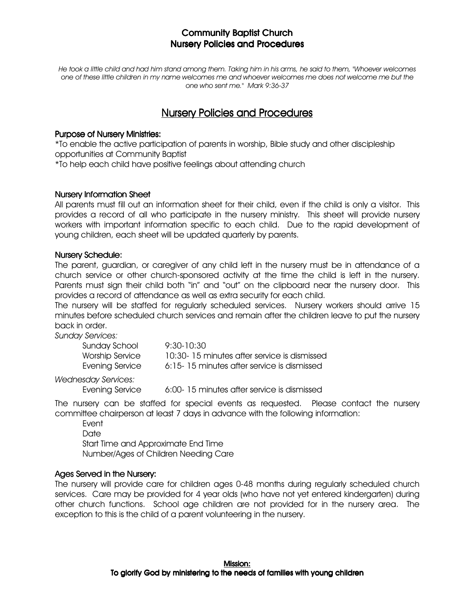He took a little child and had him stand among them. Taking him in his arms, he said to them, "Whoever welcomes one of these little children in my name welcomes me and whoever welcomes me does not welcome me but the one who sent me." Mark 9:36-37

# Nursery Policies and Procedures

#### Purpose of Nursery Ministries:

\*To enable the active participation of parents in worship, Bible study and other discipleship opportunities at Community Baptist

\*To help each child have positive feelings about attending church

#### Nursery Information Sheet

All parents must fill out an information sheet for their child, even if the child is only a visitor. This provides a record of all who participate in the nursery ministry. This sheet will provide nursery workers with important information specific to each child. Due to the rapid development of young children, each sheet will be updated quarterly by parents.

#### **Nursery Schedule:**

The parent, guardian, or caregiver of any child left in the nursery must be in attendance of a church service or other church-sponsored activity at the time the child is left in the nursery. Parents must sign their child both "in" and "out" on the clipboard near the nursery door. This provides a record of attendance as well as extra security for each child.

The nursery will be staffed for regularly scheduled services. Nursery workers should arrive 15 minutes before scheduled church services and remain after the children leave to put the nursery back in order.

Sunday Services:

| Sunday School   | 9:30-10:30                                  |
|-----------------|---------------------------------------------|
| Worship Service | 10:30-15 minutes after service is dismissed |
| Evening Service | 6:15-15 minutes after service is dismissed  |

Wednesday Services:

Evening Service 6:00-15 minutes after service is dismissed

The nursery can be staffed for special events as requested. Please contact the nursery committee chairperson at least 7 days in advance with the following information:

Event

**Date**  Start Time and Approximate End Time Number/Ages of Children Needing Care

### Ages Served in the Nursery:

The nursery will provide care for children ages 0-48 months during regularly scheduled church services. Care may be provided for 4 year olds (who have not yet entered kindergarten) during other church functions. School age children are not provided for in the nursery area. The exception to this is the child of a parent volunteering in the nursery.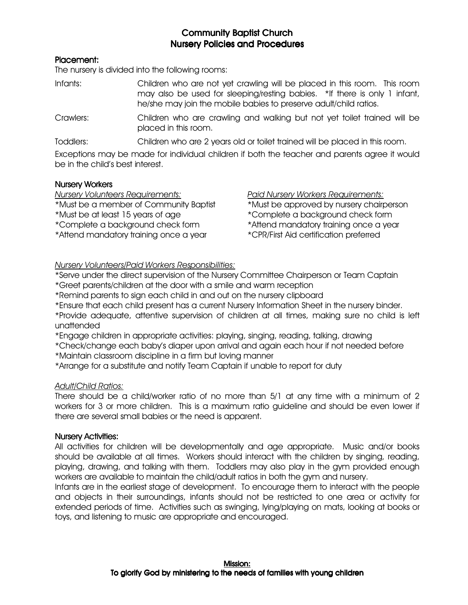### Placement: Placement:

The nursery is divided into the following rooms:

- Infants: Children who are not yet crawling will be placed in this room. This room may also be used for sleeping/resting babies. \*If there is only 1 infant, he/she may join the mobile babies to preserve adult/child ratios.
- Crawlers: Children who are crawling and walking but not yet toilet trained will be placed in this room.

Toddlers: Children who are 2 years old or toilet trained will be placed in this room.

Exceptions may be made for individual children if both the teacher and parents agree it would be in the child's best interest.

### Nursery Workers

Nursery Volunteers Requirements: Paid Nursery Workers Requirements:

\*Must be a member of Community Baptist \*Must be approved by nursery chairperson

\*Must be at least 15 years of age \*Complete a background check form

\*Complete a background check form \*Attend mandatory training once a year

\*Attend mandatory training once a year \*CPR/First Aid certification preferred

### Nursery Volunteers/Paid Workers Responsibilities:

\*Serve under the direct supervision of the Nursery Committee Chairperson or Team Captain

\*Greet parents/children at the door with a smile and warm reception

\*Remind parents to sign each child in and out on the nursery clipboard

\*Ensure that each child present has a current Nursery Information Sheet in the nursery binder.

\*Provide adequate, attentive supervision of children at all times, making sure no child is left unattended

\*Engage children in appropriate activities: playing, singing, reading, talking, drawing

\*Check/change each baby's diaper upon arrival and again each hour if not needed before

\*Maintain classroom discipline in a firm but loving manner

\*Arrange for a substitute and notify Team Captain if unable to report for duty

### Adult/Child Ratios:

There should be a child/worker ratio of no more than 5/1 at any time with a minimum of 2 workers for 3 or more children. This is a maximum ratio guideline and should be even lower if there are several small babies or the need is apparent.

### **Nursery Activities:**

All activities for children will be developmentally and age appropriate. Music and/or books should be available at all times. Workers should interact with the children by singing, reading, playing, drawing, and talking with them. Toddlers may also play in the gym provided enough workers are available to maintain the child/adult ratios in both the gym and nursery.

Infants are in the earliest stage of development. To encourage them to interact with the people and objects in their surroundings, infants should not be restricted to one area or activity for extended periods of time. Activities such as swinging, lying/playing on mats, looking at books or toys, and listening to music are appropriate and encouraged.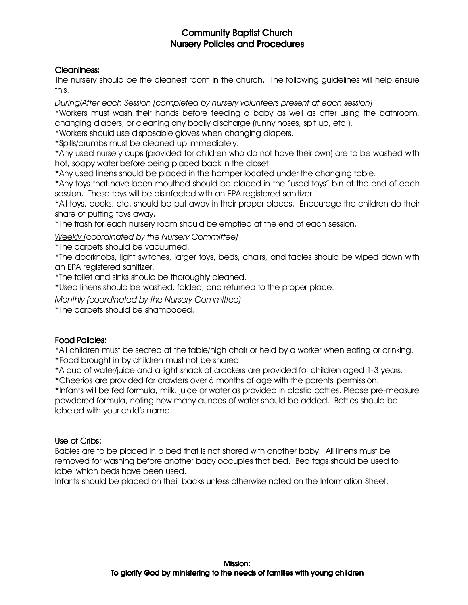### Cleanliness:

The nursery should be the cleanest room in the church. The following guidelines will help ensure this.

During/After each Session (completed by nursery volunteers present at each session)

\*Workers must wash their hands before feeding a baby as well as after using the bathroom, changing diapers, or cleaning any bodily discharge (runny noses, spit up, etc.).

\*Workers should use disposable gloves when changing diapers.

\*Spills/crumbs must be cleaned up immediately.

\*Any used nursery cups (provided for children who do not have their own) are to be washed with hot, soapy water before being placed back in the closet.

\*Any used linens should be placed in the hamper located under the changing table.

\*Any toys that have been mouthed should be placed in the "used toys" bin at the end of each session. These toys will be disinfected with an EPA registered sanitizer.

\*All toys, books, etc. should be put away in their proper places. Encourage the children do their share of putting toys away.

\*The trash for each nursery room should be emptied at the end of each session.

Weekly (coordinated by the Nursery Committee)

\*The carpets should be vacuumed.

\*The doorknobs, light switches, larger toys, beds, chairs, and tables should be wiped down with an EPA registered sanitizer.

\*The toilet and sinks should be thoroughly cleaned.

\*Used linens should be washed, folded, and returned to the proper place.

Monthly (coordinated by the Nursery Committee)

\*The carpets should be shampooed.

### Food Policies:

\*All children must be seated at the table/high chair or held by a worker when eating or drinking. \*Food brought in by children must not be shared.

\*A cup of water/juice and a light snack of crackers are provided for children aged 1-3 years.

\*Cheerios are provided for crawlers over 6 months of age with the parents' permission.

\*Infants will be fed formula, milk, juice or water as provided in plastic bottles. Please pre-measure powdered formula, noting how many ounces of water should be added. Bottles should be labeled with your child's name.

### Use of Cribs:

Babies are to be placed in a bed that is not shared with another baby. All linens must be removed for washing before another baby occupies that bed. Bed tags should be used to label which beds have been used.

Infants should be placed on their backs unless otherwise noted on the Information Sheet.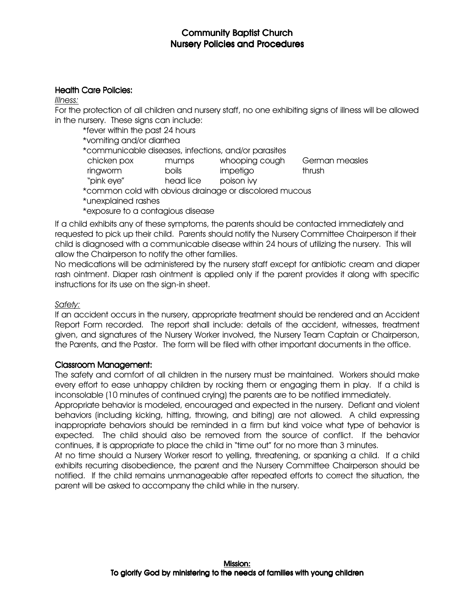### Health Care Policies:

#### Illness:

For the protection of all children and nursery staff, no one exhibiting signs of illness will be allowed in the nursery. These signs can include:

\*fever within the past 24 hours

- \*vomiting and/or diarrhea
- \*communicable diseases, infections, and/or parasites
- chicken pox mumps whooping cough German measles ringworm boils impetigo thrush
	-
- "pink eye" head lice poison ivy
- \*common cold with obvious drainage or discolored mucous
- \*unexplained rashes
- \*exposure to a contagious disease

If a child exhibits any of these symptoms, the parents should be contacted immediately and requested to pick up their child. Parents should notify the Nursery Committee Chairperson if their child is diagnosed with a communicable disease within 24 hours of utilizing the nursery. This will allow the Chairperson to notify the other families.

No medications will be administered by the nursery staff except for antibiotic cream and diaper rash ointment. Diaper rash ointment is applied only if the parent provides it along with specific instructions for its use on the sign-in sheet.

### Safety:

If an accident occurs in the nursery, appropriate treatment should be rendered and an Accident Report Form recorded. The report shall include: details of the accident, witnesses, treatment given, and signatures of the Nursery Worker involved, the Nursery Team Captain or Chairperson, the Parents, and the Pastor. The form will be filed with other important documents in the office.

### Classroom Management: Classroom Management:

The safety and comfort of all children in the nursery must be maintained. Workers should make every effort to ease unhappy children by rocking them or engaging them in play. If a child is inconsolable (10 minutes of continued crying) the parents are to be notified immediately.

Appropriate behavior is modeled, encouraged and expected in the nursery. Defiant and violent behaviors (including kicking, hitting, throwing, and biting) are not allowed. A child expressing inappropriate behaviors should be reminded in a firm but kind voice what type of behavior is expected. The child should also be removed from the source of conflict. If the behavior continues, it is appropriate to place the child in "time out" for no more than 3 minutes.

At no time should a Nursery Worker resort to yelling, threatening, or spanking a child. If a child exhibits recurring disobedience, the parent and the Nursery Committee Chairperson should be notified. If the child remains unmanageable after repeated efforts to correct the situation, the parent will be asked to accompany the child while in the nursery.